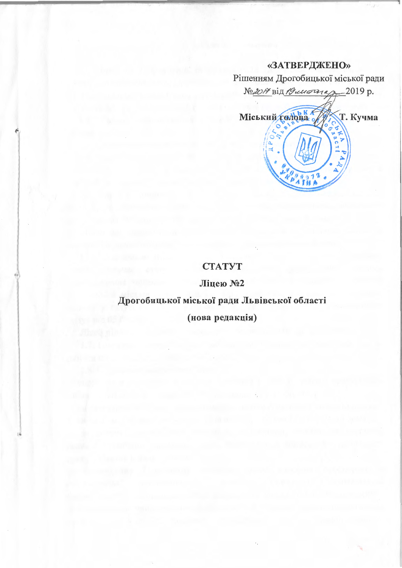# «ЗАТВЕРДЖЕНО»



# **CTATYT**

Ліцею №2

# Дрогобицької міської ради Львівської області

(нова редакція)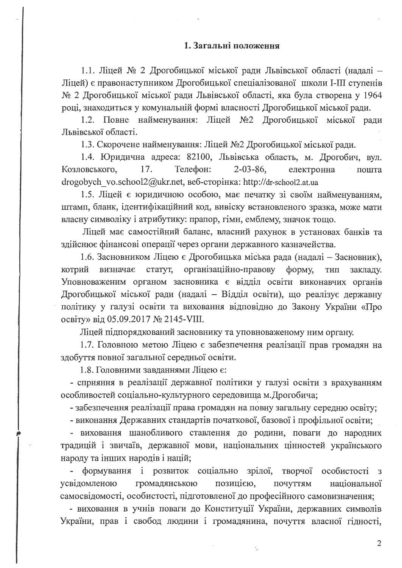#### 1. Загальні положення

1.1. Ліцей № 2 Дрогобицької міської ради Львівської області (надалі -Ліцей) є правонаступником Дрогобицької спеціалізованої школи I-III ступенів № 2 Дрогобицької міської ради Львівської області, яка була створена у 1964 році, знаходиться у комунальній формі власності Дрогобицької міської ради.

1.2. Повне найменування: Ліцей №2 Дрогобицької міської ради Львівської області.

1.3. Скорочене найменування: Ліцей №2 Дрогобицької міської ради.

1.4. Юридична адреса: 82100, Львівська область, м. Дрогобич, вул. Козловського, 17. Телефон:  $2 - 03 - 86$ , електронна пошта drogobych vo.school2@ukr.net, веб-сторінка: http://dr-school2.at.ua

1.5. Ліцей є юридичною особою, має печатку зі своїм найменуванням, штамп, бланк, ідентифікаційний код, вивіску встановленого зразка, може мати власну символіку і атрибутику: прапор, гімн, емблему, значок тощо.

Ліцей має самостійний баланс, власний рахунок в установах банків та здійснює фінансові операції через органи державного казначейства.

1.6. Засновником Ліцею є Дрогобицька міська рада (надалі - Засновник), статут, організаційно-правову ТИП котрий визначає форму, закладу. Уповноваженим органом засновника є відділ освіти виконавчих органів Дрогобицької міської ради (надалі - Відділ освіти), що реалізує державну політику у галузі освіти та виховання відповідно до Закону України «Про освіту» від 05.09.2017 № 2145-VIII.

Ліцей підпорядкований засновнику та уповноваженому ним органу.

1.7. Головною метою Ліцею є забезпечення реалізації прав громадян на здобуття повної загальної середньої освіти.

1.8. Головними завданнями Ліцею є:

- сприяння в реалізації державної політики у галузі освіти з врахуванням особливостей соціально-культурного середовища м. Дрогобича;

- забезпечення реалізації права громадян на повну загальну середню освіту;

- виконання Державних стандартів початкової, базової і профільної освіти;

- виховання шанобливого ставлення до родини, поваги до народних традицій і звичаїв, державної мови, національних цінностей українського народу та інших народів і націй;

формування і розвиток соціально зрілої, творчої особистості 3 позицією, усвідомленою громадянською національної почуттям самосвідомості, особистості, підготовленої до професійного самовизначення;

- виховання в учнів поваги до Конституції України, державних символів України, прав і свобод людини і громадянина, почуття власної гідності,

 $\overline{2}$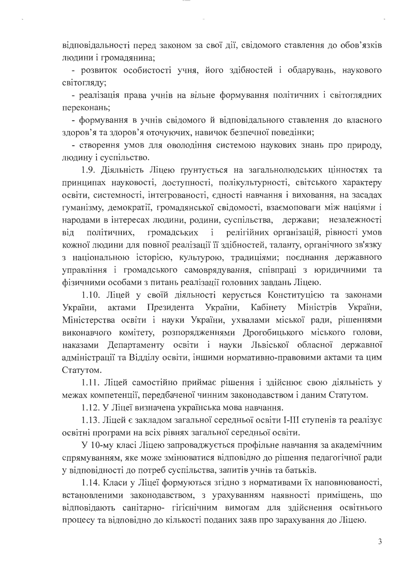відповідальності перед законом за свої дії, свідомого ставлення до обов'язків людини і громадянина;

- розвиток особистості учня, його здібностей і обдарувань, наукового світогляду;

- реалізація права учнів на вільне формування політичних і світоглядних переконань;

- формування в учнів свідомого й відповідального ставлення до власного здоров'я та здоров'я оточуючих, навичок безпечної поведінки;

- створення умов для оволодіння системою наукових знань про природу, людину і суспільство.

1.9. Діяльність Ліцею грунтується на загальнолюдських цінностях та принципах науковості, доступності, полікультурності, світського характеру освіти, системності, інтегрованості, єдності навчання і виховання, на засадах гуманізму, демократії, громадянської свідомості, взаємоповаги між націями і народами в інтересах людини, родини, суспільства, держави; незалежності громадських і релігійних організацій, рівності умов політичних, від кожної людини для повної реалізації її здібностей, таланту, органічного зв'язку з національною історією, культурою, традиціями; поєднання державного управління і громадського самоврядування, співпраці з юридичними та фізичними особами з питань реалізації головних завдань Ліцею.

1.10. Ліцей у своїй діяльності керується Конституцією та законами України, Кабінету Міністрів України, актами Президента України, Міністерства освіти і науки України, ухвалами міської ради, рішеннями виконавчого комітету, розпорядженнями Дрогобицького міського голови, наказами Департаменту освіти і науки Львіської обласної державної адміністрації та Відділу освіти, іншими нормативно-правовими актами та цим Статутом.

1.11. Ліцей самостійно приймає рішення і здійснює свою діяльність у межах компетенції, передбаченої чинним законодавством і даним Статутом.

1.12. У Ліцеї визначена українська мова навчання.

1.13. Ліцей є закладом загальної середньої освіти І-ІІІ ступенів та реалізує освітні програми на всіх рівнях загальної середньої освіти.

У 10-му класі Ліцею запроваджується профільне навчання за академічним спрямуванням, яке може змінюватися відповідно до рішення педагогічної ради у відповідності до потреб суспільства, запитів учнів та батьків.

1.14. Класи у Ліцеї формуються згідно з нормативами їх наповнюваності, встановленими законодавством, з урахуванням наявності приміщень, що відповідають санітарно- гігієнічним вимогам для здійснення освітнього процесу та відповідно до кількості поданих заяв про зарахування до Ліцею.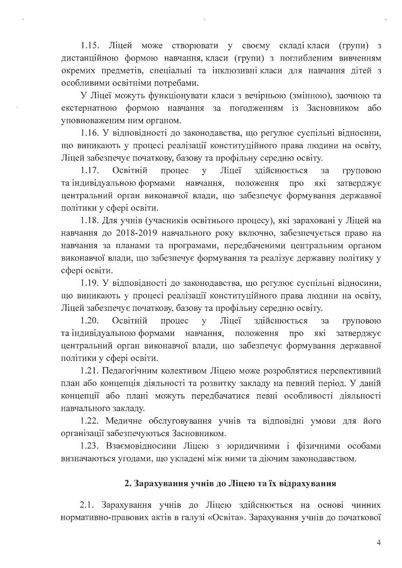$1.15.$ Ліцей може створювати у своєму складікласи (групи) з дистанційною формою навчання, класи (групи) з поглибленим вивченням окремих предметів, спеціальні та інклюзивні класи для навчання дітей з особливими освітніми потребами.

У Ліцеї можуть функціонувати класи з вечірньою (змінною), заочною та екстернатною формою навчання за погодженням із Засновником  $a\overline{0}$ уповноваженим ним органом.

1.16. У відповідності до законодавства, що регулює суспільні відносини, що виникають у процесі реалізації конституційного права людини на освіту, Ліцей забезпечує початкову, базову та профільну середню освіту.

1.17. Освітній Ліцеї здійснюється процес y за груповою та індивідуальною формами навчання, які положення про затверджує центральний орган виконавчої влади, що забезпечує формування державної політики у сфері освіти.

1.18. Для учнів (учасників освітнього процесу), які зараховані у Ліцей на навчання до 2018-2019 навчального року включно, забезпечується право на навчання за планами та програмами, передбаченими центральним органом виконавчої влади, що забезпечує формування та реалізує державну політику у сфері освіти.

1.19. У відповідності до законодавства, що регулює суспільні відносини, що виникають у процесі реалізації конституційного права людини на освіту, Ліцей забезпечує початкову, базову та профільну середню освіту.

1.20. Освітній процес Ліцеї здійснюється  $\overline{V}$ за груповою та індивідуальною формами навчання, які положення про затверджує центральний орган виконавчої влади, що забезпечує формування державної політики у сфері освіти.

1.21. Педагогічним колективом Ліцею може розроблятися перспективний план або концепція діяльності та розвитку закладу на певний період. У даній концепції або плані можуть передбачатися певні особливості діяльності навчального закладу.

1.22. Медичне обслуговування учнів та відповідні умови для його організації забезпечуються Засновником.

1.23. Взаємовідносини Ліцею з юридичними і фізичними особами визначаються угодами, що укладені між ними та діючим законодавством.

# 2. Зарахування учнів до Ліцею та їх відрахування

2.1. Зарахування учнів до Ліцею здійснюється на основі чинних нормативно-правових актів в галузі «Освіта». Зарахування учнів до початкової

 $\overline{4}$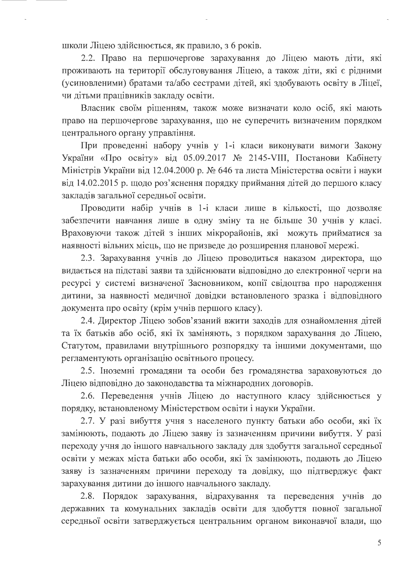школи Ліцею здійснюється, як правило, з 6 років.

2.2. Право на першочергове зарахування до Ліцею мають діти, які проживають на території обслуговування Ліцею, а також діти, які є рідними (усиновленими) братами та/або сестрами дітей, які здобувають освіту в Ліцеї, чи дітьми працівників закладу освіти.

Власник своїм рішенням, також може визначати коло осіб, які мають право на першочергове зарахування, що не суперечить визначеним порядком центрального органу управління.

При проведенні набору учнів у 1-і класи виконувати вимоги Закону України «Про освіту» від 05.09.2017 № 2145-VIII, Постанови Кабінету Міністрів України від 12.04.2000 р. № 646 та листа Міністерства освіти і науки від 14.02.2015 р. щодо роз'яснення порядку приймання дітей до першого класу закладів загальної середньої освіти.

Проводити набір учнів в 1-і класи лише в кількості, що дозволяє забезпечити навчання лише в одну зміну та не більше 30 учнів у класі. Враховуючи також дітей з інших мікрорайонів, які можуть прийматися за наявності вільних місць, що не призведе до розширення планової мережі.

2.3. Зарахування учнів до Ліцею проводиться наказом директора, що видається на підставі заяви та здійснювати відповідно до електронної черги на ресурсі у системі визначеної Засновником, копії свідоцтва про народження дитини, за наявності медичної довідки встановленого зразка і відповідного документа про освіту (крім учнів першого класу).

2.4. Директор Ліцею зобов'язаний вжити заходів для ознайомлення дітей та їх батьків або осіб, які їх заміняють, з порядком зарахування до Ліцею, Статутом, правилами внутрішнього розпорядку та іншими документами, що регламентують організацію освітнього процесу.

2.5. Іноземні громадяни та особи без громадянства зараховуються до Ліцею відповідно до законодавства та міжнародних договорів.

2.6. Переведення учнів Ліцею до наступного класу здійснюється у порядку, встановленому Міністерством освіти і науки України.

2.7. У разі вибуття учня з населеного пункту батьки або особи, які їх замінюють, подають до Ліцею заяву із зазначенням причини вибуття. У разі переходу учня до іншого навчального закладу для здобуття загальної середньої освіти у межах міста батьки або особи, які їх замінюють, подають до Ліцею заяву із зазначенням причини переходу та довідку, що підтверджує факт зарахування дитини до іншого навчального закладу.

2.8. Порядок зарахування, відрахування та переведення учнів до державних та комунальних закладів освіти для здобуття повної загальної середньої освіти затверджується центральним органом виконавчої влади, що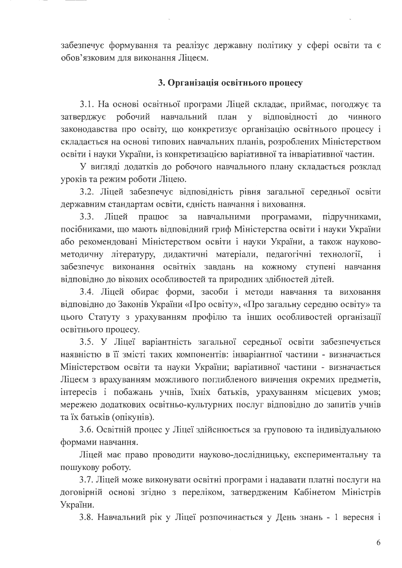забезпечує формування та реалізує державну політику у сфері освіти та є обов'язковим для виконання Ліцеєм.

# 3. Організація освітнього процесу

3.1. На основі освітньої програми Ліцей складає, приймає, погоджує та затверджує робочий навчальний план у відповідності ДО чинного законодавства про освіту, що конкретизує організацію освітнього процесу і складається на основі типових навчальних планів, розроблених Міністерством освіти і науки України, із конкретизацією варіативної та інваріативної частин.

У вигляді додатків до робочого навчального плану складається розклад уроків та режим роботи Ліцею.

3.2. Ліцей забезпечує відповідність рівня загальної середньої освіти державним стандартам освіти, єдність навчання і виховання.

 $3.3.$ Ліцей працює  $3a$ навчальними програмами, підручниками, посібниками, що мають відповідний гриф Міністерства освіти і науки України або рекомендовані Міністерством освіти і науки України, а також науковометодичну літературу, дидактичні матеріали, педагогічні технології,  $\mathbf{i}$ забезпечує виконання освітніх завдань на кожному ступені навчання відповідно до вікових особливостей та природних здібностей дітей.

3.4. Ліцей обирає форми, засоби і методи навчання та виховання відповідно до Законів України «Про освіту», «Про загальну середню освіту» та цього Статуту з урахуванням профілю та інших особливостей організації освітнього процесу.

3.5. У Ліцеї варіантність загальної середньої освіти забезпечується наявністю в її змісті таких компонентів: інваріантної частини - визначається Міністерством освіти та науки України; варіативної частини - визначається Ліцеєм з врахуванням можливого поглибленого вивчення окремих предметів, інтересів і побажань учнів, їхніх батьків, урахуванням місцевих умов; мережею додаткових освітньо-культурних послуг відповідно до запитів учнів та їх батьків (опікунів).

3.6. Освітній процес у Ліцеї здійснюється за груповою та індивідуальною формами навчання.

Ліцей має право проводити науково-дослідницьку, експериментальну та пошукову роботу.

3.7. Ліцей може виконувати освітні програми і надавати платні послуги на договірній основі згідно з переліком, затвердженим Кабінетом Міністрів України.

3.8. Навчальний рік у Ліцеї розпочинається у День знань - 1 вересня і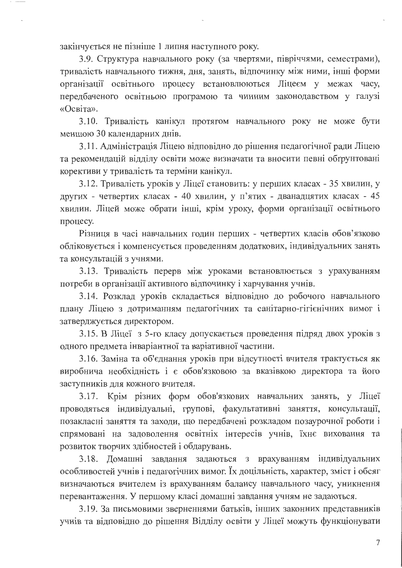закінчується не пізніше 1 липня наступного року.

3.9. Структура навчального року (за чвертями, півріччями, семестрами), тривалість навчального тижня, дня, занять, відпочинку між ними, інші форми організації освітнього процесу встановлюються Ліцеєм у межах часу, передбаченого освітньою програмою та чинним законодавством у галузі «Освіта».

3.10. Тривалість канікул протягом навчального року не може бути меншою 30 календарних днів.

3.11. Адміністрація Ліцею відповідно до рішення педагогічної ради Ліцею та рекомендацій відділу освіти може визначати та вносити певні обґрунтовані корективи у тривалість та терміни канікул.

3.12. Тривалість уроків у Ліцеї становить: у перших класах - 35 хвилин, у других - четвертих класах - 40 хвилин, у п'ятих - дванадцятих класах - 45 хвилин. Ліцей може обрати інші, крім уроку, форми організації освітнього процесу.

Різниця в часі навчальних годин перших - четвертих класів обов'язково обліковується і компенсується проведенням додаткових, індивідуальних занять та консультацій з учнями.

3.13. Тривалість перерв між уроками встановлюється з урахуванням потреби в організації активного відпочинку і харчування учнів.

3.14. Розклад уроків складається відповідно до робочого навчального плану Ліцею з дотриманням педагогічних та санітарно-гігієнічних вимог і затверджується директором.

3.15. В Ліцеї з 5-го класу допускається проведення підряд двох уроків з одного предмета інваріантної та варіативної частини.

3.16. Заміна та об'єднання уроків при відсутності вчителя трактується як виробнича необхідність і є обов'язковою за вказівкою директора та його заступників для кожного вчителя.

3.17. Крім різних форм обов'язкових навчальних занять, у Ліцеї проводяться індивідуальні, групові, факультативні заняття, консультації, позакласні заняття та заходи, що передбачені розкладом позаурочної роботи і спрямовані на задоволення освітніх інтересів учнів, їхнє виховання та розвиток творчих здібностей і обдарувань.

3.18. Домашні завдання задаються з врахуванням індивідуальних особливостей учнів і педагогічних вимог. Їх доцільність, характер, зміст і обсяг визначаються вчителем із врахуванням балансу навчального часу, уникнення перевантаження. У першому класі домашні завдання учням не задаються.

3.19. За письмовими зверненнями батьків, інших законних представників учнів та відповідно до рішення Відділу освіти у Ліцеї можуть функціонувати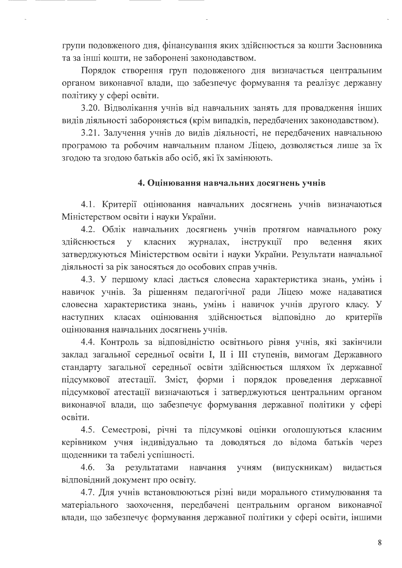групи подовженого дня, фінансування яких здійснюється за кошти Засновника та за інші кошти, не заборонені законодавством.

Порядок створення груп подовженого дня визначається центральним органом виконавчої влади, що забезпечує формування та реалізує державну політику у сфері освіти.

3.20. Відволікання учнів від навчальних занять для провадження інших видів діяльності забороняється (крім випадків, передбачених законодавством).

3.21. Залучення учнів до видів діяльності, не передбачених навчальною програмою та робочим навчальним планом Ліцею, дозволяється лише за їх згодою та згодою батьків або осіб, які їх замінюють.

## 4. Оцінювання навчальних досягнень учнів

4.1. Критерії оцінювання навчальних досягнень учнів визначаються Міністерством освіти і науки України.

4.2. Облік навчальних досягнень учнів протягом навчального року класних інструкції здійснюється журналах, про y ведення яких затверджуються Міністерством освіти і науки України. Результати навчальної діяльності за рік заносяться до особових справ учнів.

4.3. У першому класі дається словесна характеристика знань, умінь і навичок учнів. За рішенням педагогічної ради Ліцею може надаватися словесна характеристика знань, умінь і навичок учнів другого класу. У наступних класах оцінювання здійснюється відповідно ДО критеріїв оцінювання навчальних досягнень учнів.

4.4. Контроль за відповідністю освітнього рівня учнів, які закінчили заклад загальної середньої освіти I, II і III ступенів, вимогам Державного стандарту загальної середньої освіти здійснюється шляхом їх державної підсумкової атестації. Зміст, форми і порядок проведення державної підсумкової атестації визначаються і затверджуються центральним органом виконавчої влади, що забезпечує формування державної політики у сфері освіти.

4.5. Семестрові, річні та підсумкові оцінки оголошуються класним керівником учня індивідуально та доводяться до відома батьків через щоденники та табелі успішності.

 $4.6.$  $3a$ (випускникам) результатами навчання учням видається відповідний документ про освіту.

4.7. Для учнів встановлюються різні види морального стимулювання та матеріального заохочення, передбачені центральним органом виконавчої влади, що забезпечує формування державної політики у сфері освіти, іншими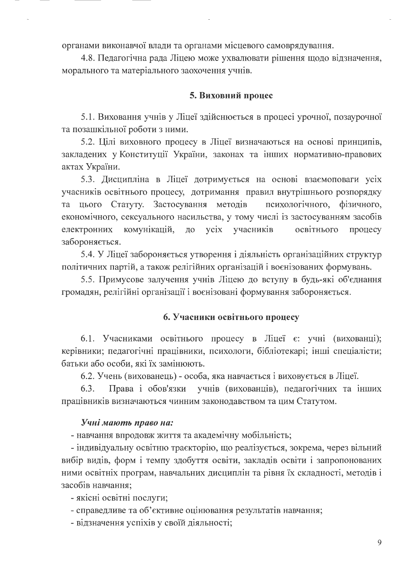органами виконавчої влади та органами місцевого самоврядування.

4.8. Педагогічна рада Ліцею може ухвалювати рішення щодо відзначення, морального та матеріального заохочення учнів.

### 5. Виховний процес

5.1. Виховання учнів у Ліцеї здійснюється в процесі урочної, позаурочної та позашкільної роботи з ними.

5.2. Цілі виховного процесу в Ліцеї визначаються на основі принципів, закладених у Конституції України, законах та інших нормативно-правових актах України.

5.3. Дисципліна в Ліцеї дотримується на основі взаємоповаги усіх учасників освітнього процесу, дотримання правил внутрішнього розпорядку та цього Статуту. Застосування методів психологічного, фізичного, економічного, сексуального насильства, у тому числі із застосуванням засобів електронних комунікацій, до усіх учасників освітнього процесу забороняється.

5.4. У Ліцеї забороняється утворення і діяльність організаційних структур політичних партій, а також релігійних організацій і воєнізованих формувань.

5.5. Примусове залучення учнів Ліцею до вступу в будь-які об'єднання громадян, релігійні організації і воєнізовані формування забороняється.

### 6. Учасники освітнього процесу

6.1. Учасниками освітнього процесу в Ліцеї є: учні (вихованці); керівники; педагогічні працівники, психологи, бібліотекарі; інші спеціалісти; батьки або особи, які їх замінюють.

6.2. Учень (вихованець) - особа, яка навчається і виховується в Ліцеї.

Права і обов'язки учнів (вихованців), педагогічних та інших  $6.3.$ працівників визначаються чинним законодавством та цим Статутом.

### Учні мають право на:

- навчання впродовж життя та академічну мобільність;

- індивідуальну освітню траєкторію, що реалізується, зокрема, через вільний вибір видів, форм і темпу здобуття освіти, закладів освіти і запропонованих ними освітніх програм, навчальних дисциплін та рівня їх складності, методів і засобів навчання;

- якісні освітні послуги;

- справедливе та об'єктивне оцінювання результатів навчання;

- відзначення успіхів у своїй діяльності;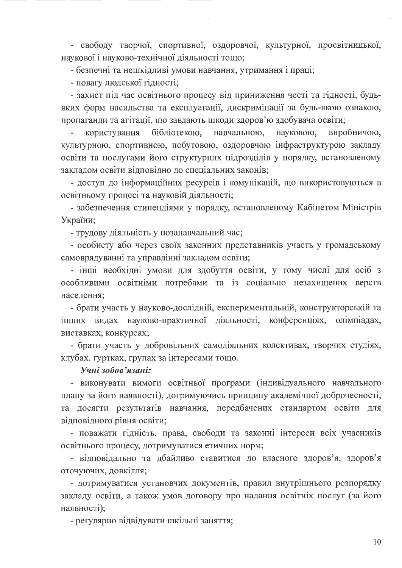- свободу творчої, спортивної, оздоровчої, культурної, просвітницької, наукової і науково-технічної діяльності тощо;

- безпечні та нешкідливі умови навчання, утримання і праці;

- повагу людської гідності;

- захист під час освітнього процесу від приниження честі та гідності, будьяких форм насильства та експлуатації, дискримінації за будь-якою ознакою, пропаганди та агітації, що завдають шкоди здоров'ю здобувача освіти;

бібліотекою, навчальною, користування науковою, виробничою, культурною, спортивною, побутовою, оздоровчою інфраструктурою закладу освіти та послугами його структурних підрозділів у порядку, встановленому закладом освіти відповідно до спеціальних законів;

- доступ до інформаційних ресурсів і комунікацій, що використовуються в освітньому процесі та науковій діяльності;

- забезпечення стипендіями у порядку, встановленому Кабінетом Міністрів України;

- трудову діяльність у позанавчальний час;

- особисту або через своїх законних представників участь у громадському самоврядуванні та управлінні закладом освіти;

- інші необхідні умови для здобуття освіти, у тому числі для осіб з особливими освітніми потребами та із соціально незахищених верств населення;

- брати участь у науково-дослідній, експериментальній, конструкторській та інших видах науково-практичної діяльності, конференціях, олімпіадах, виставках, конкурсах;

- брати участь у добровільних самодіяльних колективах, творчих студіях, клубах. гуртках, групах за інтересами тощо.

### Учні зобов'язані:

- виконувати вимоги освітньої програми (індивідуального навчального плану за його наявності), дотримуючись принципу академічної доброчесності, та досягти результатів навчання, передбачених стандартом освіти для відповідного рівня освіти;

- поважати гідність, права, свободи та законні інтереси всіх учасників освітнього процесу, дотримуватися етичних норм;

- відповідально та дбайливо ставитися до власного здоров'я, здоров'я оточуючих, довкілля;

- дотримуватися установчих документів, правил внутрішнього розпорядку закладу освіти, а також умов договору про надання освітніх послуг (за його наявності);

- регулярно відвідувати шкільні заняття;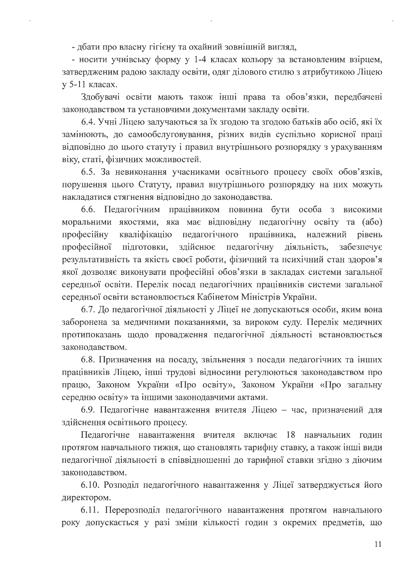- дбати про власну гігієну та охайний зовнішній вигляд,

- носити учнівську форму у 1-4 класах кольору за встановленим взірцем, затвердженим радою закладу освіти, одяг ділового стилю з атрибутикою Ліцею у 5-11 класах.

Здобувачі освіти мають також інші права та обов'язки, передбачені законодавством та установчими документами закладу освіти.

6.4. Учні Ліцею залучаються за їх згодою та згодою батьків або осіб, які їх замінюють, до самообслуговування, різних видів суспільно корисної праці відповідно до цього статуту і правил внутрішнього розпорядку з урахуванням віку, статі, фізичних можливостей.

6.5. За невиконання учасниками освітнього процесу своїх обов'язків, порушення цього Статуту, правил внутрішнього розпорядку на них можуть накладатися стягнення відповідно до законодавства.

6.6. Педагогічним працівником повинна бути особа з високими моральними якостями, яка має відповідну педагогічну освіту та (або) кваліфікацію педагогічного працівника, належний професійну рівень здійснює педагогічну професійної підготовки, діяльність, забезпечує результативність та якість своєї роботи, фізичний та психічний стан здоров'я якої дозволяє виконувати професійні обов'язки в закладах системи загальної середньої освіти. Перелік посад педагогічних працівників системи загальної середньої освіти встановлюється Кабінетом Міністрів України.

6.7. До педагогічної діяльності у Ліцеї не допускаються особи, яким вона заборонена за медичними показаннями, за вироком суду. Перелік медичних протипоказань щодо провадження педагогічної діяльності встановлюється законодавством.

6.8. Призначення на посаду, звільнення з посади педагогічних та інших працівників Ліцею, інші трудові відносини регулюються законодавством про працю, Законом України «Про освіту», Законом України «Про загальну середню освіту» та іншими законодавчими актами.

6.9. Педагогічне навантаження вчителя Ліцею - час, призначений для здійснення освітнього процесу.

Педагогічне навантаження вчителя включає 18 навчальних годин протягом навчального тижня, що становлять тарифну ставку, а також інші види педагогічної діяльності в співвідношенні до тарифної ставки згідно з діючим законодавством.

6.10. Розподіл педагогічного навантаження у Ліцеї затверджується його директором.

6.11. Перерозподіл педагогічного навантаження протягом навчального року допускається у разі зміни кількості годин з окремих предметів, що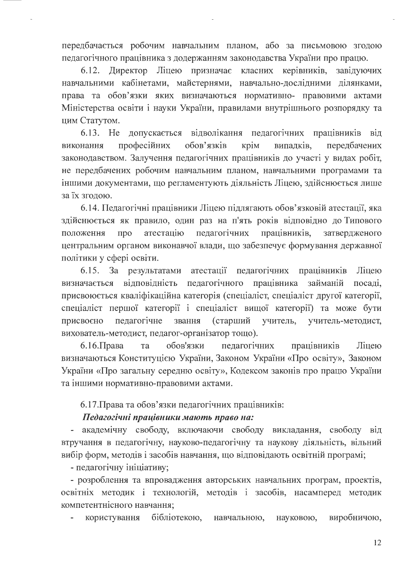передбачається робочим навчальним планом, або за письмовою згодою педагогічного працівника з додержанням законодавства України про працю.

 $6.12.$ Директор Ліцею призначає класних керівників, завідуючих навчальними кабінетами, майстернями, навчально-дослідними ділянками, права та обов'язки яких визначаються нормативно- правовими актами Міністерства освіти і науки України, правилами внутрішнього розпорядку та цим Статутом.

6.13. He допускається відволікання педагогічних працівників від професійних обов'язків крім випадків, передбачених виконання законодавством. Залучення педагогічних працівників до участі у видах робіт, не передбачених робочим навчальним планом, навчальними програмами та іншими документами, що регламентують діяльність Ліцею, здійснюється лише за їх згодою.

6.14. Педагогічні працівники Ліцею підлягають обов'язковій атестації, яка здійснюється як правило, один раз на п'ять років відповідно до Типового атестацію педагогічних положення про працівників, затвердженого центральним органом виконавчої влади, що забезпечує формування державної політики у сфері освіти.

працівників 6.15. За результатами атестації педагогічних Ліцею відповідність педагогічного працівника визначається займаній посаді. присвоюється кваліфікаційна категорія (спеціаліст, спеціаліст другої категорії, спеціаліст першої категорії і спеціаліст вищої категорії) та може бути присвоєно педагогічне звання (старший учитель, учитель-методист, вихователь-методист, педагог-організатор тощо).

обов'язки  $6.16$ . Права та педагогічних працівників Ліцею визначаються Конституцією України, Законом України «Про освіту», Законом України «Про загальну середню освіту», Кодексом законів про працю України та іншими нормативно-правовими актами.

6.17. Права та обов'язки педагогічних працівників:

# Педагогічні працівники мають право на:

- академічну свободу, включаючи свободу викладання, свободу від втручання в педагогічну, науково-педагогічну та наукову діяльність, вільний вибір форм, методів і засобів навчання, що відповідають освітній програмі;

- педагогічну ініціативу;

- розроблення та впровадження авторських навчальних програм, проектів, освітніх методик і технологій, методів і засобів, насамперед методик компетентнісного навчання;

бібліотекою, виробничою, користування навчальною, науковою,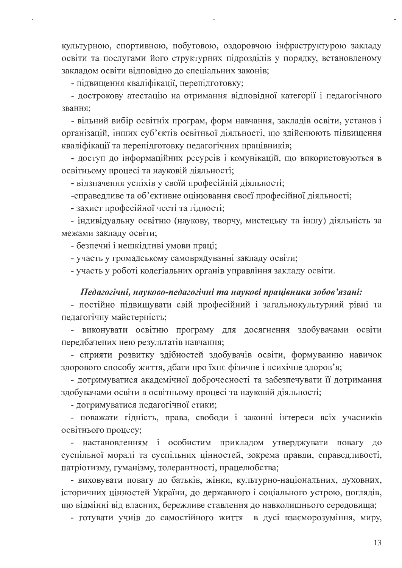культурною, спортивною, побутовою, оздоровчою інфраструктурою закладу освіти та послугами його структурних підрозділів у порядку, встановленому закладом освіти відповідно до спеціальних законів;

- підвищення кваліфікації, перепідготовку;

- дострокову атестацію на отримання відповідної категорії і педагогічного звання:

- вільний вибір освітніх програм, форм навчання, закладів освіти, установ і організацій, інших суб'єктів освітньої діяльності, що здійснюють підвищення кваліфікації та перепідготовку педагогічних працівників;

- доступ до інформаційних ресурсів і комунікацій, що використовуються в освітньому процесі та науковій діяльності;

- відзначення успіхів у своїй професійній діяльності;

-справедливе та об'єктивне оцінювання своєї професійної діяльності;

- захист професійної честі та гідності;

- індивідуальну освітню (наукову, творчу, мистецьку та іншу) діяльність за межами закладу освіти;

- безпечні і нешкідливі умови праці;

- участь у громадському самоврядуванні закладу освіти;

- участь у роботі колегіальних органів управління закладу освіти.

### Педагогічні, науково-педагогічні та наукові працівники зобов'язані:

- постійно підвищувати свій професійний і загальнокультурний рівні та педагогічну майстерність;

- виконувати освітню програму для досягнення здобувачами освіти передбачених нею результатів навчання;

- сприяти розвитку здібностей здобувачів освіти, формуванню навичок здорового способу життя, дбати про їхнє фізичне і психічне здоров'я;

- дотримуватися академічної доброчесності та забезпечувати її дотримання здобувачами освіти в освітньому процесі та науковій діяльності;

- дотримуватися педагогічної етики;

- поважати гідність, права, свободи і законні інтереси всіх учасників освітнього процесу;

- настановленням і особистим прикладом утверджувати повагу ДО суспільної моралі та суспільних цінностей, зокрема правди, справедливості, патріотизму, гуманізму, толерантності, працелюбства;

- виховувати повагу до батьків, жінки, культурно-національних, духовних, історичних цінностей України, до державного і соціального устрою, поглядів, що відмінні від власних, бережливе ставлення до навколишнього середовища;

- готувати учнів до самостійного життя в дусі взаєморозуміння, миру,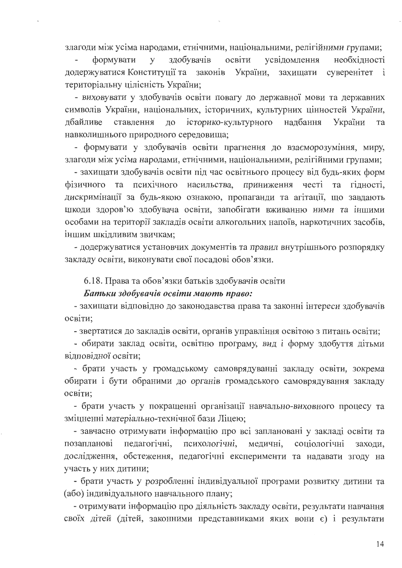злагоди між усіма народами, етнічними, національними, релігійними групами;

здобувачів освіти необхідності формувати  $\mathbf{V}$ усвідомлення додержуватися Конституції та законів України, захищати суверенітет і територіальну цілісність України;

- виховувати у здобувачів освіти повагу до державної мови та державних символів України, національних, історичних, культурних цінностей України, історико-культурного надбання лбайливе ставлення ДО України та навколишнього природного середовища;

- формувати у здобувачів освіти прагнення до взаєморозуміння, миру, злагоди між усіма народами, етнічними, національними, релігійними групами;

- захищати здобувачів освіти під час освітнього процесу від будь-яких форм фізичного та психічного насильства, приниження честі та гідності, дискримінації за будь-якою ознакою, пропаганди та агітації, що завдають шкоди здоров'ю здобувача освіти, запобігати вживанню ними та іншими особами на території закладів освіти алкогольних напоїв, наркотичних засобів, іншим шкідливим звичкам;

- додержуватися установчих документів та правил внутрішнього розпорядку закладу освіти, виконувати свої посадові обов'язки.

6.18. Права та обов'язки батьків здобувачів освіти

### Батьки здобувачів освіти мають право:

- захищати відповідно до законодавства права та законні інтереси здобувачів освіти:

- звертатися до закладів освіти, органів управління освітою з питань освіти;

- обирати заклад освіти, освітню програму, вид і форму здобуття дітьми відповідної освіти;

- брати участь у громадському самоврядуванні закладу освіти, зокрема обирати і бути обраними до органів громадського самоврядування закладу освіти:

- брати участь у покращенні організації навчально-виховного процесу та зміцненні матеріально-технічної бази Ліцею;

- завчасно отримувати інформацію про всі заплановані у закладі освіти та педагогічні, психологічні, медичні, соціологічні позапланові заходи. дослідження, обстеження, педагогічні експерименти та надавати згоду на участь у них дитини;

- брати участь у розробленні індивідуальної програми розвитку дитини та (або) індивідуального навчального плану;

- отримувати інформацію про діяльність закладу освіти, результати навчання своїх дітей (дітей, законними представниками яких вони є) і результати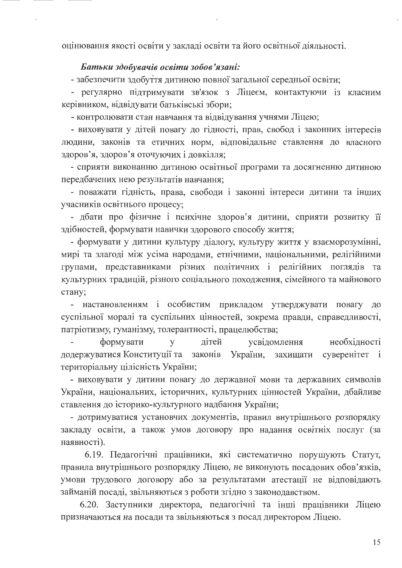оцінювання якості освіти у закладі освіти та його освітньої діяльності.

### Батьки здобувачів освіти зобов'язані:

- забезпечити здобуття дитиною повної загальної середньої освіти;

- регулярно підтримувати зв'язок з Ліцеєм, контактуючи із класним керівником, відвідувати батьківські збори;

- контролювати стан навчання та відвідування учнями Ліцею;

- виховувати у дітей повагу до гідності, прав, свобод і законних інтересів людини, законів та етичних норм, відповідальне ставлення до власного здоров'я, здоров'я оточуючих і довкілля;

- сприяти виконанню дитиною освітньої програми та досягненню дитиною передбачених нею результатів навчання;

- поважати гідність, права, свободи і законні інтереси дитини та інших учасників освітнього процесу;

- дбати про фізичне і психічне здоров'я дитини, сприяти розвитку її здібностей, формувати навички здорового способу життя;

- формувати у дитини культуру діалогу, культуру життя у взаєморозумінні, мирі та злагоді між усіма народами, етнічними, національними, релігійними групами, представниками різних політичних і релігійних поглядів та культурних традицій, різного соціального походження, сімейного та майнового стану;

- настановленням і особистим прикладом утверджувати повагу до суспільної моралі та суспільних цінностей, зокрема правди, справедливості, патріотизму, гуманізму, толерантності, працелюбства;

усвідомлення необхідності формувати літей  $\mathbf{V}$ додержуватися Конституції та законів України, захищати суверенітет і територіальну цілісність України;

- виховувати у дитини повагу до державної мови та державних символів України, національних, історичних, культурних цінностей України, дбайливе ставлення до історико-культурного надбання України;

- дотримуватися установчих документів, правил внутрішнього розпорядку закладу освіти, а також умов договору про надання освітніх послуг (за наявності).

6.19. Педагогічні працівники, які систематично порушують Статут, правила внутрішнього розпорядку Ліцею, не виконують посадових обов'язків, умови трудового договору або за результатами атестації не відповідають займаній посаді, звільняються з роботи згідно з законодавством.

6.20. Заступники директора, педагогічні та інші працівники Ліцею призначаються на посади та звільняються з посад директором Ліцею.

15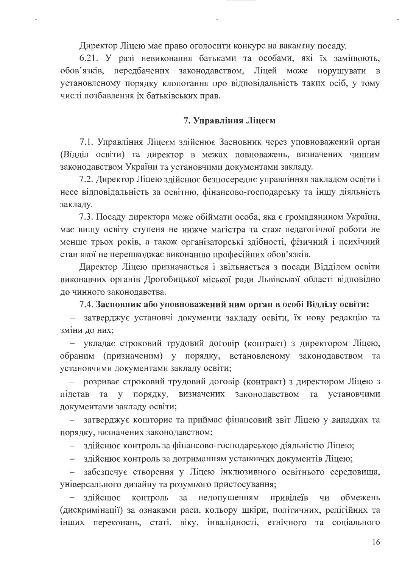Директор Ліцею має право оголосити конкурс на вакантну посаду.

6.21. У разі невиконання батьками та особами, які їх замінюють, обов'язків, передбачених законодавством, Ліцей може порушувати в установленому порядку клопотання про відповідальність таких осіб, у тому числі позбавлення їх батьківських прав.

#### 7. Управління Ліцеєм

7.1. Управління Ліцеєм здійснює Засновник через уповноважений орган (Відділ освіти) та директор в межах повноважень, визначених чинним законодавством України та установчими документами закладу.

7.2. Директор Ліцею здійснює безпосереднє управлінняя закладом освіти і несе відповідальність за освітню, фінансово-господарську та іншу діяльність закладу.

7.3. Посаду директора може обіймати особа, яка є громадянином України, має вищу освіту ступеня не нижче магістра та стаж педагогічної роботи не менше трьох років, а також організаторські здібності, фізичний і психічний стан якої не перешкоджає виконанню професійних обов'язків.

Директор Ліцею призначається і звільняється з посади Відділом освіти виконавчих органів Дрогобицької міської ради Львівської області відповідно до чинного законодавства.

7.4. Засновник або уповноважений ним орган в особі Відділу освіти:

- затверджує установчі документи закладу освіти, їх нову редакцію та зміни до них;

- укладає строковий трудовий договір (контракт) з директором Ліцею, обраним (призначеним) у порядку, встановленому законодавством та установчими документами закладу освіти;

- розриває строковий трудовий договір (контракт) з директором Ліцею з підстав та у порядку, визначених законодавством та установчими документами закладу освіти;

- затверджує кошторис та приймає фінансовий звіт Ліцею у випадках та порядку, визначених законодавством;

- здійснює контроль за фінансово-господарською діяльністю Ліцею;

- здійснює контроль за дотриманням установчих документів Ліцею;

- забезпечує створення у Ліцею інклюзивного освітнього середовища, універсального дизайну та розумного пристосування;

недопущенням привілеїв здійснює контроль  $3a$ ЧИ обмежень (дискримінації) за ознаками раси, кольору шкіри, політичних, релігійних та інших переконань, статі, віку, інвалідності, етнічного та соціального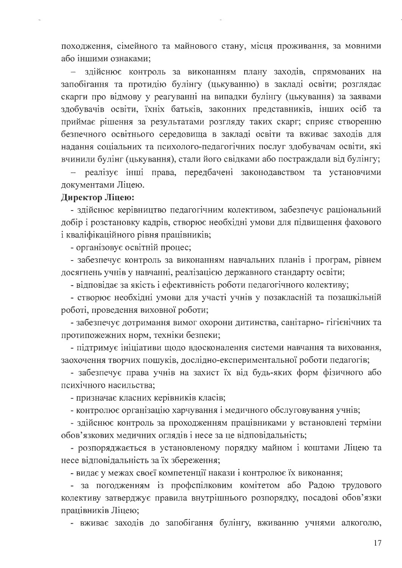походження, сімейного та майнового стану, місця проживання, за мовними або іншими ознаками;

здійснює контроль за виконанням плану заходів, спрямованих на запобігання та протидію булінгу (цькуванню) в закладі освіти; розглядає скарги про відмову у реагуванні на випадки булінгу (цькування) за заявами здобувачів освіти, їхніх батьків, законних представників, інших осіб та приймає рішення за результатами розгляду таких скарг; сприяє створенню безпечного освітнього середовища в закладі освіти та вживає заходів для надання соціальних та психолого-педагогічних послуг здобувачам освіти, які вчинили булінг (цькування), стали його свідками або постраждали від булінгу;

- реалізує інші права, передбачені законодавством та установчими документами Ліцею.

## Директор Ліцею:

- здійснює керівництво педагогічним колективом, забезпечує раціональний добір і розстановку кадрів, створює необхідні умови для підвищення фахового і кваліфікаційного рівня працівників;

- організовує освітній процес;

- забезпечує контроль за виконанням навчальних планів і програм, рівнем досягнень учнів у навчанні, реалізацією державного стандарту освіти;

- відповідає за якість і ефективність роботи педагогічного колективу;

- створює необхідні умови для участі учнів у позакласній та позашкільній роботі, проведення виховної роботи;

- забезпечує дотримання вимог охорони дитинства, санітарно-гігієнічних та протипожежних норм, техніки безпеки;

- підтримує ініціативи щодо вдосконалення системи навчання та виховання, заохочення творчих пошуків, дослідно-експериментальної роботи педагогів;

- забезпечує права учнів на захист їх від будь-яких форм фізичного або психічного насильства;

- призначає класних керівників класів;

- контролює організацію харчування і медичного обслуговування учнів;

- здійснює контроль за проходженням працівниками у встановлені терміни обов'язкових медичних оглядів і несе за це відповідальність;

- розпоряджається в установленому порядку майном і коштами Ліцею та несе відповідальність за їх збереження;

- видає у межах своєї компетенції накази і контролює їх виконання;

- за погодженням із профспілковим комітетом або Радою трудового колективу затверджує правила внутрішнього розпорядку, посадові обов'язки працівників Ліцею;

- вживає заходів до запобігання булінгу, вживанню учнями алкоголю,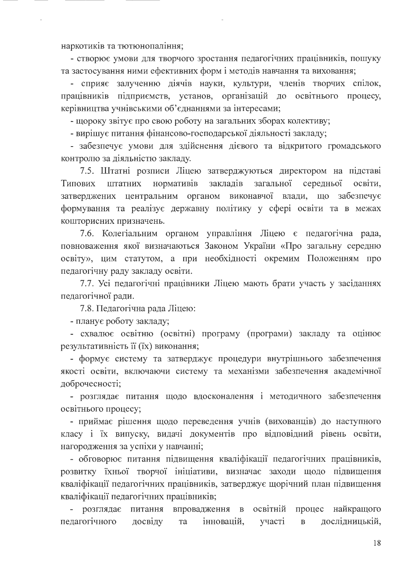наркотиків та тютюнопаління;

- створює умови для творчого зростання педагогічних працівників, пошуку та застосування ними ефективних форм і методів навчання та виховання;

- сприяє залученню діячів науки, культури, членів творчих спілок, працівників підприємств, установ, організацій до освітнього процесу, керівництва учнівськими об'єднаннями за інтересами;

- щороку звітує про свою роботу на загальних зборах колективу;

- вирішує питання фінансово-господарської діяльності закладу;

- забезпечує умови для здійснення дієвого та відкритого громадського контролю за діяльністю закладу.

7.5. Штатні розписи Ліцею затверджуються директором на підставі закладів нормативів загальної середньої освіти. Типових штатних затверджених центральним органом виконавчої влади, що забезпечує формування та реалізує державну політику у сфері освіти та в межах кошторисних призначень.

7.6. Колегіальним органом управління Ліцею є педагогічна рада, повноваження якої визначаються Законом України «Про загальну середню освіту», цим статутом, а при необхідності окремим Положенням про педагогічну раду закладу освіти.

7.7. Усі педагогічні працівники Ліцею мають брати участь у засіданнях педагогічної ради.

7.8. Педагогічна рада Ліцею:

- планує роботу закладу;

- схвалює освітню (освітні) програму (програми) закладу та оцінює результативність її (їх) виконання;

- формує систему та затверджує процедури внутрішнього забезпечення якості освіти, включаючи систему та механізми забезпечення академічної доброчесності;

- розглядає питання щодо вдосконалення і методичного забезпечення освітнього процесу;

- приймає рішення щодо переведення учнів (вихованців) до наступного класу і їх випуску, видачі документів про відповідний рівень освіти, нагородження за успіхи у навчанні;

- обговорює питання підвищення кваліфікації педагогічних працівників, розвитку їхньої творчої ініціативи, визначає заходи щодо підвищення кваліфікації педагогічних працівників, затверджує щорічний план підвищення кваліфікації педагогічних працівників;

- розглядає питання впровадження в освітній процес найкращого педагогічного дослідницькій, досвіду інновацій, участі  $\, {\bf B}$ та

18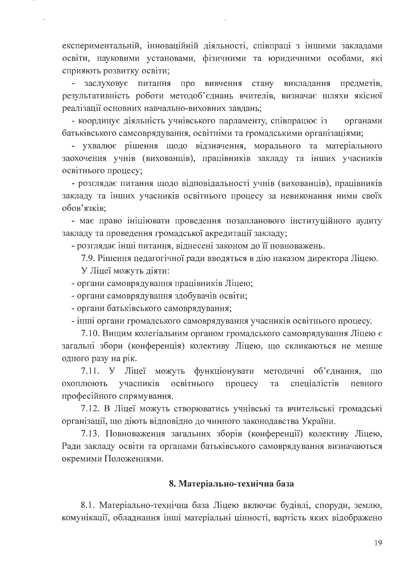експериментальній, інноваційній діяльності, співпраці з іншими закладами освіти, науковими установами, фізичними та юридичними особами, які сприяють розвитку освіти;

заслуховує питання про вивчення стану викладання предметів, результативність роботи методоб'єднань вчителів, визначає шляхи якісної реалізації основних навчально-виховних завдань;

- координує діяльність учнівського парламенту, співпрацює із органами батьківського самсоврядування, освітніми та громадськими організаціями;

- ухвалює рішення щодо відзначення, морального та матеріального заохочення учнів (вихованців), працівників закладу та інших учасників освітнього процесу;

- розглядає питання щодо відповідальності учнів (вихованців), працівників закладу та інших учасників освітнього процесу за невиконання ними своїх обов'язків;

- має право ініціювати проведення позапланового інституційного аудиту закладу та проведення громадської акредитації закладу;

- розглядає інші питання, віднесені законом до її повноважень.

7.9. Рішення педагогічної ради вводяться в дію наказом директора Ліцею.

У Ліцеї можуть діяти:

- органи самоврядування працівників Ліцею;

- органи самоврядування здобувачів освіти;

- органи батьківського самоврядування;

- інші органи громадського самоврядування учасників освітнього процесу.

7.10. Вищим колегіальним органом громадського самоврядування Ліцею є загальні збори (конференція) колективу Ліцею, що скликаються не менше одного разу на рік.

7.11. У Ліцеї можуть функціонувати методичні об'єднання, ШО учасників освітнього спеціалістів охоплюють процесу та певного професійного спрямування.

7.12. В Ліцеї можуть створюватись учнівські та вчительські громадські організації, що діють відповідно до чинного законодавства України.

7.13. Повноваження загальних зборів (конференції) колективу Ліцею, Ради закладу освіти та органами батьківського самоврядування визначаються окремими Положеннями.

### 8. Матеріально-технічна база

8.1. Матеріально-технічна база Ліцею включає будівлі, споруди, землю, комунікації, обладнання інші матеріальні цінності, вартість яких відображено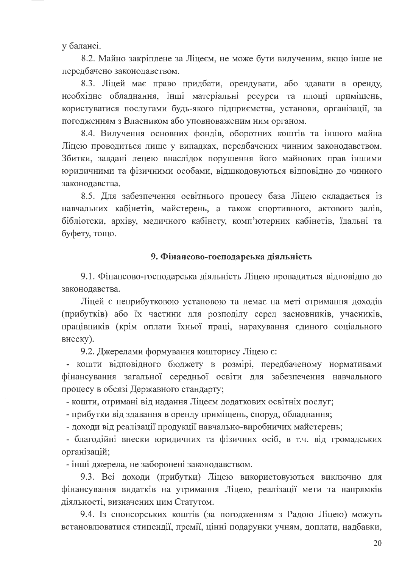у балансі.

8.2. Майно закріплене за Ліцеєм, не може бути вилученим, якщо інше не передбачено законодавством.

8.3. Ліцей має право придбати, орендувати, або здавати в оренду, необхідне обладнання, інші матеріальні ресурси та площі приміщень, користуватися послугами будь-якого підприємства, установи, організації, за погодженням з Власником або уповноваженим ним органом.

8.4. Вилучення основних фондів, оборотних коштів та іншого майна Ліцею проводиться лише у випадках, передбачених чинним законодавством. Збитки, завдані лецею внаслідок порушення його майнових прав іншими юридичними та фізичними особами, відшкодовуються відповідно до чинного законодавства.

8.5. Для забезпечення освітнього процесу база Ліцею складається із навчальних кабінетів, майстерень, а також спортивного, актового залів, бібліотеки, архіву, медичного кабінету, комп'ютерних кабінетів, їдальні та буфету, тощо.

### 9. Фінансово-господарська діяльність

9.1. Фінансово-господарська діяльність Ліцею провадиться відповідно до законолавства.

Ліцей є неприбутковою установою та немає на меті отримання доходів (прибутків) або їх частини для розподілу серед засновників, учасників, працівників (крім оплати їхньої праці, нарахування єдиного соціального внеску).

9.2. Джерелами формування кошторису Ліцею є:

- кошти відповідного бюджету в розмірі, передбаченому нормативами фінансування загальної середньої освіти для забезпечення навчального процесу в обсязі Державного стандарту;

- кошти, отримані від надання Ліцеєм додаткових освітніх послуг;

- прибутки від здавання в оренду приміщень, споруд, обладнання;

- доходи від реалізації продукції навчально-виробничих майстерень;

- благодійні внески юридичних та фізичних осіб, в т.ч. від громадських організацій;

- інші джерела, не заборонені законодавством.

9.3. Всі доходи (прибутки) Ліцею використовуються виключно для фінансування видатків на утримання Ліцею, реалізації мети та напрямків діяльності, визначених цим Статутом.

9.4. Із спонсорських коштів (за погодженням з Радою Ліцею) можуть встановлюватися стипендії, премії, цінні подарунки учням, доплати, надбавки,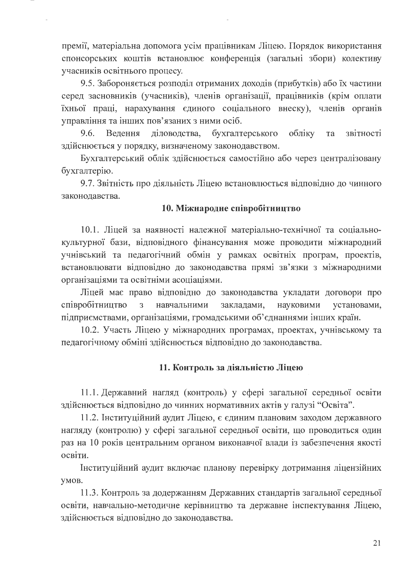премії, матеріальна допомога усім працівникам Ліцею. Порядок використання спонсорських коштів встановлює конференція (загальні збори) колективу учасників освітнього процесу.

9.5. Забороняється розподіл отриманих доходів (прибутків) або їх частини серед засновників (учасників), членів організації, працівників (крім оплати їхньої праці, нарахування єдиного соціального внеску), членів органів управління та інших пов'язаних з ними осіб.

9.6. Ведення діловодства, бухгалтерського обліку звітності та здійснюється у порядку, визначеному законодавством.

Бухгалтерський облік здійснюється самостійно або через централізовану бухгалтерію.

9.7. Звітність про діяльність Ліцею встановлюється відповідно до чинного законодавства.

### 10. Міжнародне співробітництво

10.1. Ліцей за наявності належної матеріально-технічної та соціальнокультурної бази, відповідного фінансування може проводити міжнародний учнівський та педагогічний обмін у рамках освітніх програм, проектів, встановлювати відповідно до законодавства прямі зв'язки з міжнародними організаціями та освітніми асоціаціями.

Ліцей має право відповідно до законодавства укладати договори про співробітництво  $\overline{3}$ навчальними закладами, науковими установами, підприємствами, організаціями, громадськими об'єднаннями інших країн.

10.2. Участь Ліцею у міжнародних програмах, проектах, учнівському та педагогічному обміні здійснюється відповідно до законодавства.

## 11. Контроль за діяльністю Ліцею

11.1. Державний нагляд (контроль) у сфері загальної середньої освіти здійснюється відповідно до чинних нормативних актів у галузі "Освіта".

11.2. Інституційний аудит Ліцею, є єдиним плановим заходом державного нагляду (контролю) у сфері загальної середньої освіти, що проводиться один раз на 10 років центральним органом виконавчої влади із забезпечення якості освіти.

Інституційний аудит включає планову перевірку дотримання ліцензійних умов.

11.3. Контроль за додержанням Державних стандартів загальної середньої освіти, навчально-методичне керівництво та державне інспектування Ліцею, здійснюється відповідно до законодавства.